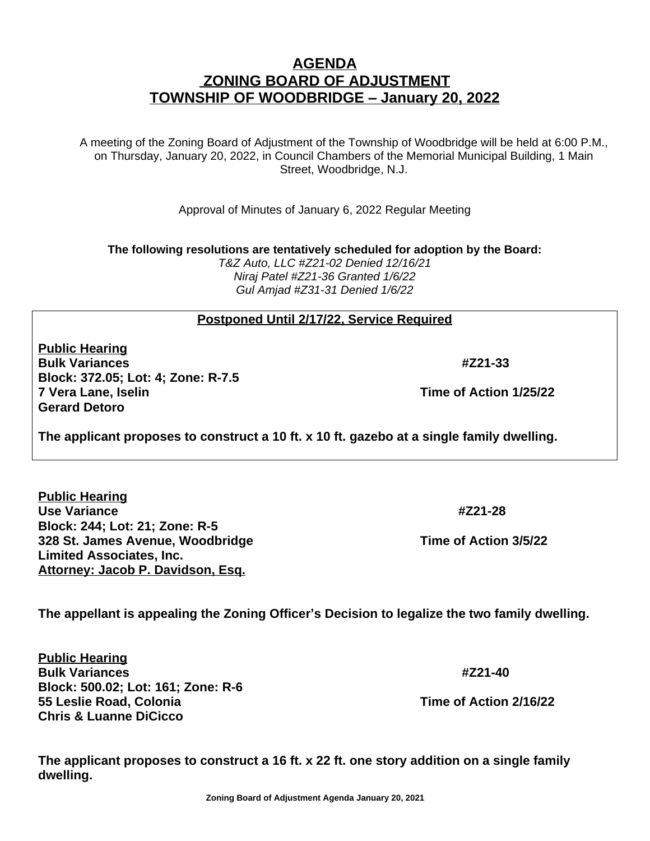**Zoning Board of Adjustment Agenda January 20, 2021**

**The applicant proposes to construct a 16 ft. x 22 ft. one story addition on a single family** 

## **AGENDA ZONING BOARD OF ADJUSTMENT TOWNSHIP OF WOODBRIDGE – January 20, 2022**

A meeting of the Zoning Board of Adjustment of the Township of Woodbridge will be held at 6:00 P.M., on Thursday, January 20, 2022, in Council Chambers of the Memorial Municipal Building, 1 Main Street, Woodbridge, N.J.

Approval of Minutes of January 6, 2022 Regular Meeting

**The following resolutions are tentatively scheduled for adoption by the Board:**

*T&Z Auto, LLC #Z21-02 Denied 12/16/21 Niraj Patel #Z21-36 Granted 1/6/22 Gul Amjad #Z31-31 Denied 1/6/22*

## **Postponed Until 2/17/22, Service Required**

**Public Hearing Bulk Variances #Z21-33 Block: 372.05; Lot: 4; Zone: R-7.5 7 Vera Lane, Iselin Time of Action 1/25/22 Gerard Detoro**

**The applicant proposes to construct a 10 ft. x 10 ft. gazebo at a single family dwelling.**

**Public Hearing Use Variance #Z21-28 Block: 244; Lot: 21; Zone: R-5 328 St. James Avenue, Woodbridge The Construction 3/5/22 Limited Associates, Inc. Attorney: Jacob P. Davidson, Esq.**

**The appellant is appealing the Zoning Officer's Decision to legalize the two family dwelling.**

**Public Hearing Bulk Variances #Z21-40 Block: 500.02; Lot: 161; Zone: R-6 55 Leslie Road, Colonia Time of Action 2/16/22 Chris & Luanne DiCicco**

**dwelling.**